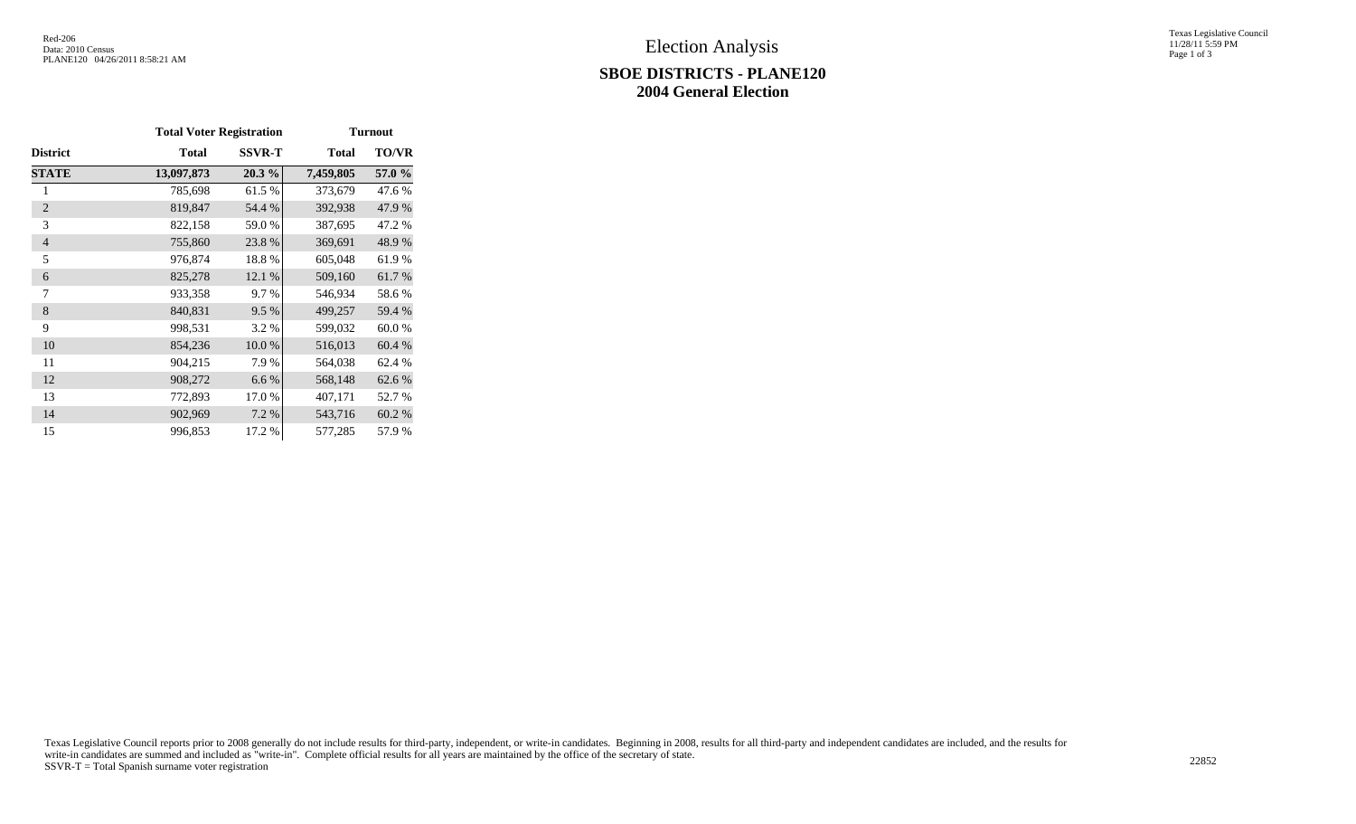## **SBOE DISTRICTS - PLANE120 2004 General Election**

Texas Legislative Council 11/28/11 5:59 PM Page 1 of 3

|                 | <b>Total Voter Registration</b> |               | <b>Turnout</b> |              |  |  |  |
|-----------------|---------------------------------|---------------|----------------|--------------|--|--|--|
| <b>District</b> | <b>Total</b>                    | <b>SSVR-T</b> | <b>Total</b>   | <b>TO/VR</b> |  |  |  |
| <b>STATE</b>    | 13,097,873                      | 20.3 %        | 7,459,805      | 57.0 %       |  |  |  |
| 1               | 785,698                         | 61.5%         | 373,679        | 47.6 %       |  |  |  |
| $\overline{2}$  | 819,847                         | 54.4 %        | 392,938        | 47.9 %       |  |  |  |
| 3               | 822,158                         | 59.0%         | 387,695        | 47.2 %       |  |  |  |
| $\overline{4}$  | 755,860                         | 23.8%         | 369,691        | 48.9%        |  |  |  |
| 5               | 976,874                         | 18.8%         | 605,048        | 61.9%        |  |  |  |
| 6               | 825,278                         | 12.1 %        | 509,160        | 61.7%        |  |  |  |
| 7               | 933,358                         | 9.7%          | 546,934        | 58.6%        |  |  |  |
| 8               | 840,831                         | 9.5 %         | 499,257        | 59.4 %       |  |  |  |
| 9               | 998,531                         | 3.2 %         | 599,032        | 60.0%        |  |  |  |
| 10              | 854,236                         | 10.0%         | 516,013        | 60.4 %       |  |  |  |
| 11              | 904,215                         | 7.9%          | 564,038        | 62.4 %       |  |  |  |
| 12              | 908,272                         | 6.6%          | 568,148        | 62.6 %       |  |  |  |
| 13              | 772,893                         | 17.0%         | 407,171        | 52.7 %       |  |  |  |
| 14              | 902,969                         | 7.2 %         | 543,716        | 60.2%        |  |  |  |
| 15              | 996,853                         | 17.2 %        | 577,285        | 57.9%        |  |  |  |

Texas Legislative Council reports prior to 2008 generally do not include results for third-party, independent, or write-in candidates. Beginning in 2008, results for all third-party and independent candidates are included, write-in candidates are summed and included as "write-in". Complete official results for all years are maintained by the office of the secretary of state. 22852<br>SSVR-T = Total Spanish surname voter registration 22852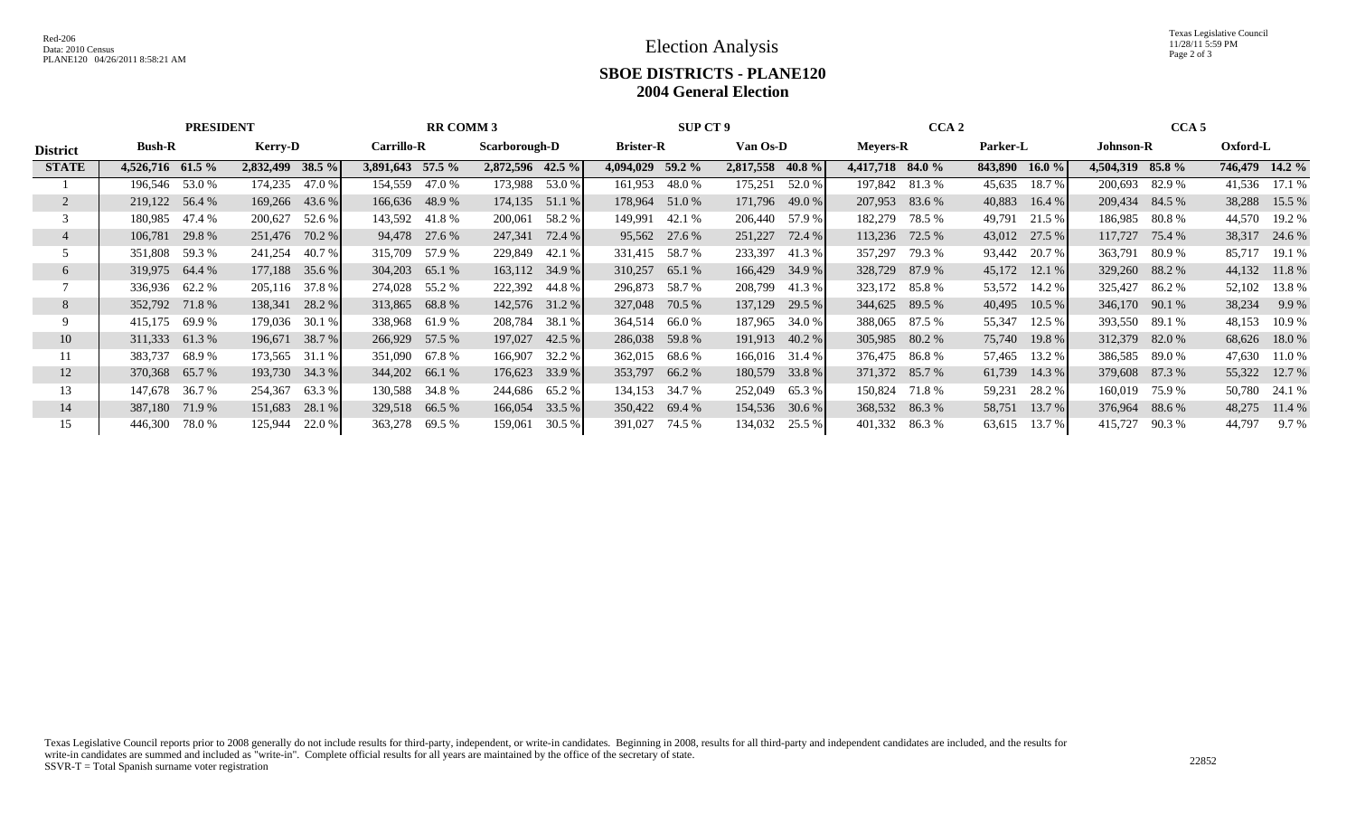Election Analysis

Texas Legislative Council 11/28/11 5:59 PM Page 2 of 3

## **SBOE DISTRICTS - PLANE120 2004 General Election**

|                 | <b>PRESIDENT</b> |        |                  | <b>RR COMM 3</b> |                   |               |                  | <b>SUP CT 9</b> |                  |                | CCA <sub>2</sub> |          |                  | CCA <sub>5</sub> |          |           |                  |        |                |        |
|-----------------|------------------|--------|------------------|------------------|-------------------|---------------|------------------|-----------------|------------------|----------------|------------------|----------|------------------|------------------|----------|-----------|------------------|--------|----------------|--------|
| <b>District</b> | <b>Bush-R</b>    |        | <b>Kerry-D</b>   |                  | <b>Carrillo-R</b> |               | Scarborough-D    |                 | <b>Brister-R</b> |                | Van Os-D         |          | <b>Meyers-R</b>  |                  | Parker-L |           | <b>Johnson-R</b> |        | Oxford-L       |        |
| <b>STATE</b>    | 4,526,716 61.5 % |        | 2,832,499 38.5 % |                  | 3,891,643 57.5 %  |               | 2,872,596 42.5 % |                 | 4,094,029        | 59.2 %         | 2,817,558        | 40.8 $%$ | 4,417,718 84.0 % |                  | 843,890  | $16.0 \%$ | 4,504,319 85.8 % |        | 746,479 14.2 % |        |
|                 | 196,546          | 53.0 % | 174,235          | 47.0 %           | 154,559           | 47.0 %        | 173,988          | 53.0 %          | 161,953          | 48.0%          | 175,251          | 52.0 %   |                  | 197,842 81.3 %   | 45,635   | 18.7%     | 200,693          | 82.9 % | 41,536         | 17.1 % |
|                 | 219,122 56.4 %   |        | 169,266 43.6 %   |                  | 166,636 48.9 %    |               | 174,135 51.1 %   |                 |                  | 178,964 51.0 % | 171,796          | 49.0 %   | 207,953 83.6 %   |                  | 40,883   | 16.4%     | 209,434 84.5 %   |        | 38,288         | 15.5 % |
|                 | 180,985          | 47.4 % | 200,627          | 52.6 %           | 143,592 41.8 %    |               | 200,061          | 58.2 %          | 149,991          | 42.1 %         | 206,440          | 57.9 %   | 182,279          | 78.5 %           | 49,791   | 21.5 %    | 186,985          | 80.8 % | 44,570         | 19.2 % |
|                 | 106,781          | 29.8%  | 251,476 70.2 %   |                  |                   | 94,478 27.6 % | 247,341          | 72.4 %          |                  | 95,562 27.6 %  | 251,227          | 72.4 %   |                  | 113,236 72.5 %   | 43,012   | 27.5 %    | 117,727          | 75.4 % | 38,317         | 24.6 % |
|                 | 351,808          | 59.3 % | 241,254          | 40.7 %           | 315,709           | 57.9 %        | 229,849          | 42.1 %          | 331,415          | 58.7 %         | 233,397          | 41.3 %   | 357,297          | 79.3 %           | 93,442   | 20.7 %    | 363,791          | 80.9 % | 85,717         | 19.1 % |
| 6               | 319,975 64.4 %   |        | 177,188 35.6 %   |                  | 304,203 65.1 %    |               | 163,112 34.9 %   |                 | 310,257          | 65.1 %         | 166,429          | 34.9 %   | 328,729 87.9 %   |                  | 45,172   | 12.1 %    | 329,260 88.2 %   |        | 44,132         | 11.8%  |
|                 | 336,936 62.2 %   |        | 205,116 37.8 %   |                  | 274,028 55.2 %    |               | 222,392          | 44.8 %          | 296,873          | 58.7 %         | 208,799          | 41.3 %   |                  | 323,172 85.8 %   | 53,572   | 14.2 %    | 325,427          | 86.2 % | 52,102         | 13.8%  |
| 8               | 352,792 71.8 %   |        | 138,341          | 28.2 %           | 313,865           | 68.8%         | 142,576 31.2 %   |                 | 327,048          | 70.5 %         | 137,129          | 29.5 %   |                  | 344,625 89.5 %   | 40,495   | 10.5%     | 346,170 90.1 %   |        | 38,234         | 9.9 %  |
|                 | 415,175          | 69.9 % | 179,036          | 30.1 %           | 338,968           | 61.9 %        | 208,784          | 38.1 %          | 364,514          | 66.0 %         | 187,965          | 34.0 %   |                  | 388,065 87.5 %   | 55,347   | 12.5 %    | 393,550 89.1 %   |        | 48,153         | 10.9 % |
| 10              | 311,333 61.3 %   |        | 196,671 38.7 %   |                  | 266,929           | 57.5 %        | 197,027          | 42.5 %          |                  | 286,038 59.8 % | 191,913          | 40.2 %   |                  | 305,985 80.2 %   | 75,740   | 19.8 %    | 312,379 82.0 %   |        | 68,626         | 18.0%  |
|                 | 383,737          | 68.9 % | 173,565          | 31.1 %           | 351,090           | 67.8 %        | 166,907          | 32.2 %          | 362,015          | 68.6 %         | 166,016          | 31.4 %   |                  | 376,475 86.8 %   | 57,465   | 13.2 %    | 386,585          | 89.0 % | 47,630         | 11.0 % |
| 12              | 370,368 65.7 %   |        | 193,730 34.3 %   |                  | 344,202 66.1 %    |               | 176,623          | 33.9 %          |                  | 353,797 66.2 % | 180,579          | 33.8 %   |                  | 371,372 85.7 %   | 61,739   | 14.3 %    | 379,608 87.3 %   |        | 55,322         | 12.7 % |
| 13              | 147,678          | 36.7 % | 254,367          | 63.3 %           | 130,588           | 34.8 %        | 244,686          | 65.2 %          | 134,153          | 34.7 %         | 252,049          | 65.3 %   |                  | 150,824 71.8 %   | 59,231   | 28.2 %    | 160,019          | 75.9 % | 50,780         | 24.1 % |
| 14              | 387,180          | 71.9 % | 151,683          | 28.1 %           | 329,518           | 66.5 %        | 166,054          | 33.5 %          | 350,422 69.4 %   |                | 154,536          | 30.6 %   | 368,532 86.3 %   |                  | 58,751   | 13.7 %    | 376,964          | 88.6 % | 48,275         | 11.4 % |
| 15              | 446,300          | 78.0 % | 125,944          | 22.0 %           | 363,278 69.5 %    |               | 159,061          | 30.5 %          | 391,027 74.5 %   |                | 134,032          | 25.5 %   | 401,332 86.3 %   |                  | 63,615   | 13.7 %    | 415,727          | 90.3 % | 44,797         | 9.7%   |

Texas Legislative Council reports prior to 2008 generally do not include results for third-party, independent, or write-in candidates. Beginning in 2008, results for all third-party and independent candidates are included, write-in candidates are summed and included as "write-in". Complete official results for all years are maintained by the office of the secretary of state. 22852<br>SSVR-T = Total Spanish surname voter registration 22852